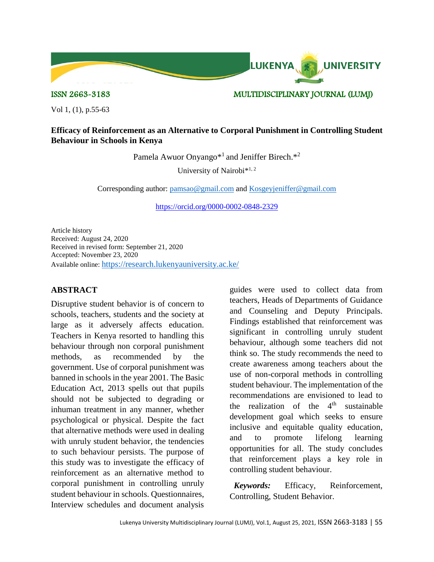

ISSN 2663-3183 MULTIDISCIPLINARY JOURNAL (LUMJ)

Vol 1, (1), p.55-63

# **Efficacy of Reinforcement as an Alternative to Corporal Punishment in Controlling Student Behaviour in Schools in Kenya**

Pamela Awuor Onyango<sup>\*1</sup> and Jeniffer Birech.<sup>\*2</sup>

University of Nairobi\*1, 2

Corresponding author: [pamsao@gmail.com](mailto:pamsao@gmail.com) and [Kosgeyjeniffer@gmail.com](mailto:Kosgeyjeniffer@gmail.com)

<https://orcid.org/0000-0002-0848-2329>

Article history Received: August 24, 2020 Received in revised form: September 21, 2020 Accepted: November 23, 2020 Available online: <https://research.lukenyauniversity.ac.ke/>

### **ABSTRACT**

Disruptive student behavior is of concern to schools, teachers, students and the society at large as it adversely affects education. Teachers in Kenya resorted to handling this behaviour through non corporal punishment methods, as recommended by the government. Use of corporal punishment was banned in schools in the year 2001. The Basic Education Act, 2013 spells out that pupils should not be subjected to degrading or inhuman treatment in any manner, whether psychological or physical. Despite the fact that alternative methods were used in dealing with unruly student behavior, the tendencies to such behaviour persists. The purpose of this study was to investigate the efficacy of reinforcement as an alternative method to corporal punishment in controlling unruly student behaviour in schools. Questionnaires, Interview schedules and document analysis

guides were used to collect data from teachers, Heads of Departments of Guidance and Counseling and Deputy Principals. Findings established that reinforcement was significant in controlling unruly student behaviour, although some teachers did not think so. The study recommends the need to create awareness among teachers about the use of non-corporal methods in controlling student behaviour. The implementation of the recommendations are envisioned to lead to the realization of the  $4<sup>th</sup>$  sustainable development goal which seeks to ensure inclusive and equitable quality education, and to promote lifelong learning opportunities for all. The study concludes that reinforcement plays a key role in controlling student behaviour.

 *Keywords:* Efficacy, Reinforcement, Controlling, Student Behavior.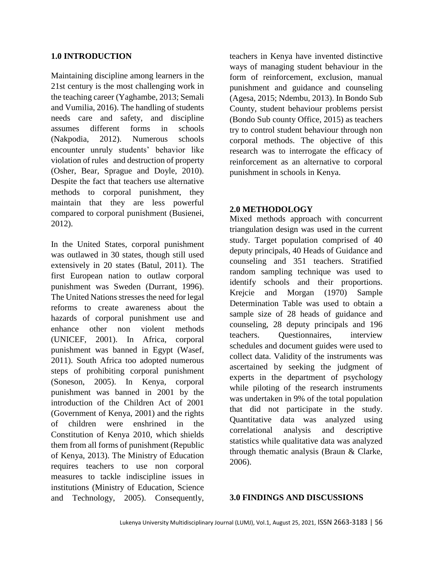### **1.0 INTRODUCTION**

Maintaining discipline among learners in the 21st century is the most challenging work in the teaching career (Yaghambe, 2013; Semali and Vumilia, 2016). The handling of students needs care and safety, and discipline assumes different forms in schools (Nakpodia, 2012). Numerous schools encounter unruly students' behavior like violation of rules and destruction of property (Osher, Bear, Sprague and Doyle, 2010). Despite the fact that teachers use alternative methods to corporal punishment, they maintain that they are less powerful compared to corporal punishment (Busienei, 2012).

In the United States, corporal punishment was outlawed in 30 states, though still used extensively in 20 states (Batul, 2011). The first European nation to outlaw corporal punishment was Sweden (Durrant, 1996). The United Nations stresses the need for legal reforms to create awareness about the hazards of corporal punishment use and enhance other non violent methods (UNICEF, 2001). In Africa, corporal punishment was banned in Egypt (Wasef, 2011). South Africa too adopted numerous steps of prohibiting corporal punishment (Soneson, 2005). In Kenya, corporal punishment was banned in 2001 by the introduction of the Children Act of 2001 (Government of Kenya, 2001) and the rights of children were enshrined in the Constitution of Kenya 2010, which shields them from all forms of punishment (Republic of Kenya, 2013). The Ministry of Education requires teachers to use non corporal measures to tackle indiscipline issues in institutions (Ministry of Education, Science and Technology, 2005). Consequently,

teachers in Kenya have invented distinctive ways of managing student behaviour in the form of reinforcement, exclusion, manual punishment and guidance and counseling (Agesa, 2015; Ndembu, 2013). In Bondo Sub County, student behaviour problems persist (Bondo Sub county Office, 2015) as teachers try to control student behaviour through non corporal methods. The objective of this research was to interrogate the efficacy of reinforcement as an alternative to corporal punishment in schools in Kenya.

## **2.0 METHODOLOGY**

Mixed methods approach with concurrent triangulation design was used in the current study. Target population comprised of 40 deputy principals, 40 Heads of Guidance and counseling and 351 teachers. Stratified random sampling technique was used to identify schools and their proportions. Krejcie and Morgan (1970) Sample Determination Table was used to obtain a sample size of 28 heads of guidance and counseling, 28 deputy principals and 196 teachers. Questionnaires, interview schedules and document guides were used to collect data. Validity of the instruments was ascertained by seeking the judgment of experts in the department of psychology while piloting of the research instruments was undertaken in 9% of the total population that did not participate in the study. Quantitative data was analyzed using correlational analysis and descriptive statistics while qualitative data was analyzed through thematic analysis (Braun & Clarke, 2006).

#### **3.0 FINDINGS AND DISCUSSIONS**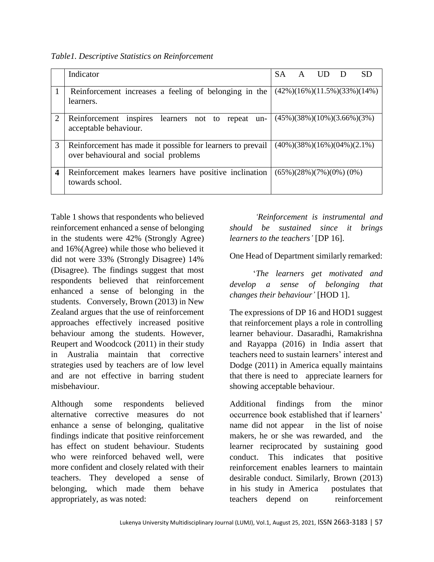*Table1. Descriptive Statistics on Reinforcement*

|                  | Indicator                                                                                          | <b>SA</b> | A |                            | <b>SD</b>                                     |
|------------------|----------------------------------------------------------------------------------------------------|-----------|---|----------------------------|-----------------------------------------------|
|                  | Reinforcement increases a feeling of belonging in the<br>learners.                                 |           |   |                            | $(42\%)(16\%)(11.5\%)(33\%)(14\%)$            |
| 2                | Reinforcement inspires learners not to repeat un-<br>acceptable behaviour.                         |           |   |                            | $(45\%)$ $(38\%)$ $(10\%)$ $(3.66\%)$ $(3\%)$ |
| 3                | Reinforcement has made it possible for learners to prevail<br>over behavioural and social problems |           |   |                            | $(40\%)$ (38%)(16%)(04%)(2.1%)                |
| $\boldsymbol{4}$ | Reinforcement makes learners have positive inclination<br>towards school.                          |           |   | $(65\%)$ (28%)(7%)(0%)(0%) |                                               |

Table 1 shows that respondents who believed reinforcement enhanced a sense of belonging in the students were 42% (Strongly Agree) and 16%(Agree) while those who believed it did not were 33% (Strongly Disagree) 14% (Disagree). The findings suggest that most respondents believed that reinforcement enhanced a sense of belonging in the students. Conversely, Brown (2013) in New Zealand argues that the use of reinforcement approaches effectively increased positive behaviour among the students. However, Reupert and Woodcock (2011) in their study in Australia maintain that corrective strategies used by teachers are of low level and are not effective in barring student misbehaviour.

Although some respondents believed alternative corrective measures do not enhance a sense of belonging, qualitative findings indicate that positive reinforcement has effect on student behaviour. Students who were reinforced behaved well, were more confident and closely related with their teachers. They developed a sense of belonging, which made them behave appropriately, as was noted:

 *'Reinforcement is instrumental and should be sustained since it brings learners to the teachers'* [DP 16].

One Head of Department similarly remarked:

 '*The learners get motivated and develop a sense of belonging that changes their behaviour'* [HOD 1].

The expressions of DP 16 and HOD1 suggest that reinforcement plays a role in controlling learner behaviour. Dasaradhi, Ramakrishna and Rayappa (2016) in India assert that teachers need to sustain learners' interest and Dodge (2011) in America equally maintains that there is need to appreciate learners for showing acceptable behaviour.

Additional findings from the minor occurrence book established that if learners' name did not appear in the list of noise makers, he or she was rewarded, and the learner reciprocated by sustaining good conduct. This indicates that positive reinforcement enables learners to maintain desirable conduct. Similarly, Brown (2013) in his study in America postulates that teachers depend on reinforcement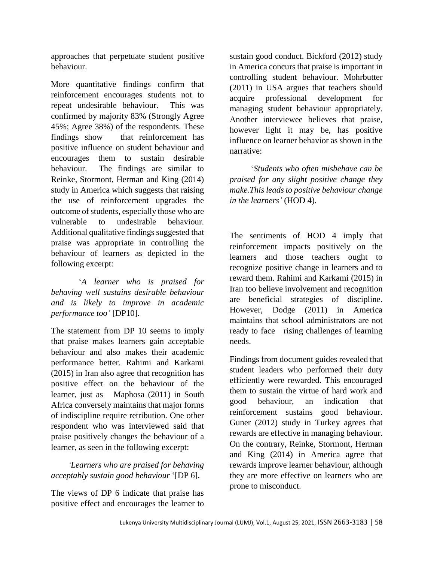approaches that perpetuate student positive behaviour.

More quantitative findings confirm that reinforcement encourages students not to repeat undesirable behaviour. This was confirmed by majority 83% (Strongly Agree 45%; Agree 38%) of the respondents. These findings show that reinforcement has positive influence on student behaviour and encourages them to sustain desirable behaviour. The findings are similar to Reinke, Stormont, Herman and King (2014) study in America which suggests that raising the use of reinforcement upgrades the outcome of students, especially those who are vulnerable to undesirable behaviour. Additional qualitative findings suggested that praise was appropriate in controlling the behaviour of learners as depicted in the following excerpt:

 '*A learner who is praised for behaving well sustains desirable behaviour and is likely to improve in academic performance too'* [DP10].

The statement from DP 10 seems to imply that praise makes learners gain acceptable behaviour and also makes their academic performance better. Rahimi and Karkami (2015) in Iran also agree that recognition has positive effect on the behaviour of the learner, just as Maphosa (2011) in South Africa conversely maintains that major forms of indiscipline require retribution. One other respondent who was interviewed said that praise positively changes the behaviour of a learner, as seen in the following excerpt:

# *'Learners who are praised for behaving acceptably sustain good behaviour* '[DP 6].

The views of DP 6 indicate that praise has positive effect and encourages the learner to

sustain good conduct. Bickford (2012) study in America concurs that praise is important in controlling student behaviour. Mohrbutter (2011) in USA argues that teachers should acquire professional development for managing student behaviour appropriately. Another interviewee believes that praise, however light it may be, has positive influence on learner behavior as shown in the narrative:

 '*Students who often misbehave can be praised for any slight positive change they make.This leads to positive behaviour change in the learners'* (HOD 4).

The sentiments of HOD 4 imply that reinforcement impacts positively on the learners and those teachers ought to recognize positive change in learners and to reward them. Rahimi and Karkami (2015) in Iran too believe involvement and recognition are beneficial strategies of discipline. However, Dodge (2011) in America maintains that school administrators are not ready to face rising challenges of learning needs.

Findings from document guides revealed that student leaders who performed their duty efficiently were rewarded. This encouraged them to sustain the virtue of hard work and good behaviour, an indication that reinforcement sustains good behaviour. Guner (2012) study in Turkey agrees that rewards are effective in managing behaviour. On the contrary, Reinke, Stormont, Herman and King (2014) in America agree that rewards improve learner behaviour, although they are more effective on learners who are prone to misconduct.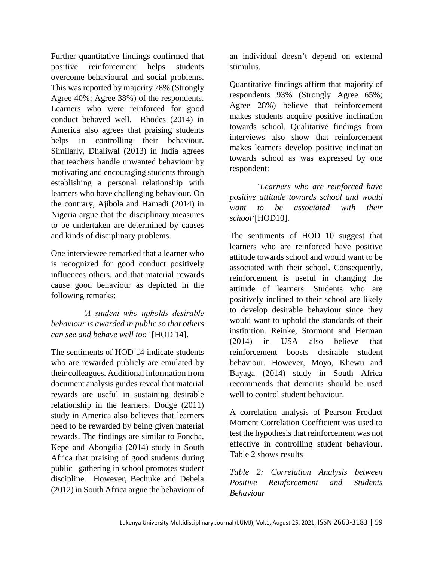Further quantitative findings confirmed that positive reinforcement helps students overcome behavioural and social problems. This was reported by majority 78% (Strongly Agree 40%; Agree 38%) of the respondents. Learners who were reinforced for good conduct behaved well. Rhodes (2014) in America also agrees that praising students helps in controlling their behaviour. Similarly, Dhaliwal (2013) in India agrees that teachers handle unwanted behaviour by motivating and encouraging students through establishing a personal relationship with learners who have challenging behaviour. On the contrary, Ajibola and Hamadi (2014) in Nigeria argue that the disciplinary measures to be undertaken are determined by causes and kinds of disciplinary problems.

One interviewee remarked that a learner who is recognized for good conduct positively influences others, and that material rewards cause good behaviour as depicted in the following remarks:

 *'A student who upholds desirable behaviour is awarded in public so that others can see and behave well too'* [HOD 14].

The sentiments of HOD 14 indicate students who are rewarded publicly are emulated by their colleagues. Additional information from document analysis guides reveal that material rewards are useful in sustaining desirable relationship in the learners. Dodge (2011) study in America also believes that learners need to be rewarded by being given material rewards. The findings are similar to Foncha, Kepe and Abongdia (2014) study in South Africa that praising of good students during public gathering in school promotes student discipline. However, Bechuke and Debela (2012) in South Africa argue the behaviour of an individual doesn't depend on external stimulus.

Quantitative findings affirm that majority of respondents 93% (Strongly Agree 65%; Agree 28%) believe that reinforcement makes students acquire positive inclination towards school. Qualitative findings from interviews also show that reinforcement makes learners develop positive inclination towards school as was expressed by one respondent:

 '*Learners who are reinforced have positive attitude towards school and would want to be associated with their school*'[HOD10].

The sentiments of HOD 10 suggest that learners who are reinforced have positive attitude towards school and would want to be associated with their school. Consequently, reinforcement is useful in changing the attitude of learners. Students who are positively inclined to their school are likely to develop desirable behaviour since they would want to uphold the standards of their institution. Reinke, Stormont and Herman (2014) in USA also believe that reinforcement boosts desirable student behaviour. However, Moyo, Khewu and Bayaga (2014) study in South Africa recommends that demerits should be used well to control student behaviour.

A correlation analysis of Pearson Product Moment Correlation Coefficient was used to test the hypothesis that reinforcement was not effective in controlling student behaviour. Table 2 shows results

*Table 2: Correlation Analysis between Positive Reinforcement and Students Behaviour*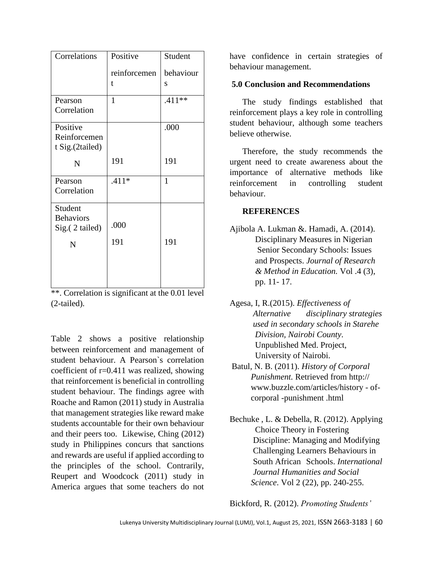| Correlations                       | Positive     | Student      |
|------------------------------------|--------------|--------------|
|                                    | reinforcemen | behaviour    |
|                                    | t            | S            |
| Pearson                            | $\mathbf{1}$ | $.411**$     |
| Correlation                        |              |              |
| Positive                           |              | .000         |
| Reinforcemen<br>t Sig.(2tailed)    |              |              |
|                                    | 191          | 191          |
| N                                  |              |              |
| Pearson                            | $.411*$      | $\mathbf{1}$ |
| Correlation                        |              |              |
| Student                            |              |              |
| <b>Behaviors</b><br>Sig.(2 tailed) | .000         |              |
| N                                  | 191          | 191          |
|                                    |              |              |
|                                    |              |              |
|                                    |              |              |

\*\*. Correlation is significant at the 0.01 level (2-tailed).

Table 2 shows a positive relationship between reinforcement and management of student behaviour. A Pearson`s correlation coefficient of r=0.411 was realized, showing that reinforcement is beneficial in controlling student behaviour. The findings agree with Roache and Ramon (2011) study in Australia that management strategies like reward make students accountable for their own behaviour and their peers too. Likewise, Ching (2012) study in Philippines concurs that sanctions and rewards are useful if applied according to the principles of the school. Contrarily, Reupert and Woodcock (2011) study in America argues that some teachers do not have confidence in certain strategies of behaviour management.

#### **5.0 Conclusion and Recommendations**

The study findings established that reinforcement plays a key role in controlling student behaviour, although some teachers believe otherwise.

Therefore, the study recommends the urgent need to create awareness about the importance of alternative methods like reinforcement in controlling student behaviour.

#### **REFERENCES**

- Ajibola A. Lukman &. Hamadi, A. (2014). Disciplinary Measures in Nigerian Senior Secondary Schools: Issues and Prospects. *Journal of Research & Method in Education.* Vol .4 (3), pp. 11- 17.
- Agesa, I, R.(2015). *Effectiveness of Alternative disciplinary strategies used in secondary schools in Starehe Division, Nairobi County*. Unpublished Med. Project, University of Nairobi.
- Batul, N. B. (2011). *History of Corporal Punishment.* Retrieved from http:// www.buzzle.com/articles/history - of corporal -punishment .html
- Bechuke , L. & Debella, R. (2012). Applying Choice Theory in Fostering Discipline: Managing and Modifying Challenging Learners Behaviours in South African Schools. *International Journal Humanities and Social Science*. Vol 2 (22), pp. 240-255.

Bickford, R. (2012). *Promoting Students'*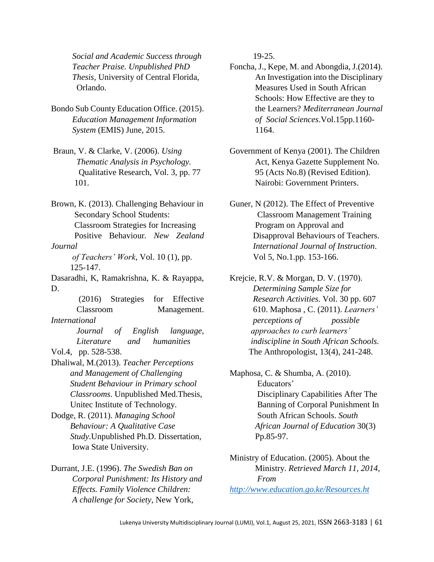*Social and Academic Success through Teacher Praise. Unpublished PhD Thesis,* University of Central Florida, Orlando.

- Bondo Sub County Education Office. (2015). *Education Management Information System* (EMIS) June, 2015.
- Braun, V. & Clarke, V. (2006). *Using Thematic Analysis in Psychology.* Qualitative Research, Vol. 3, pp. 77 101.

Brown, K. (2013). Challenging Behaviour in Secondary School Students: Classroom Strategies for Increasing Positive Behaviour*. New Zealand Journal* 

 *of Teachers' Work*, Vol. 10 (1), pp. 125-147.

Dasaradhi, K, Ramakrishna, K. & Rayappa, D.

(2016) Strategies for Effective Classroom Management. *International* 

> *Journal of English language, Literature and humanities*

Vol.4, pp. 528-538.

Dhaliwal, M.(2013). *Teacher Perceptions and Management of Challenging Student Behaviour in Primary school Classrooms*. Unpublished Med.Thesis, Unitec Institute of Technology.

Dodge, R. (2011). *Managing School Behaviour: A Qualitative Case Study*.Unpublished Ph.D. Dissertation, Iowa State University.

Durrant, J.E. (1996). *The Swedish Ban on Corporal Punishment: Its History and Effects. Family Violence Children: A challenge for Society*, New York,

19-25.

- Foncha, J., Kepe, M. and Abongdia, J.(2014). An Investigation into the Disciplinary Measures Used in South African Schools: How Effective are they to the Learners? *Mediterranean Journal of Social Sciences*.Vol.15pp.1160- 1164.
- Government of Kenya (2001). The Children Act, Kenya Gazette Supplement No. 95 (Acts No.8) (Revised Edition). Nairobi: Government Printers.
- Guner, N (2012). The Effect of Preventive Classroom Management Training Program on Approval and Disapproval Behaviours of Teachers. *International Journal of Instruction*. Vol 5, No.1.pp. 153-166.

Krejcie, R.V. & Morgan, D. V. (1970). *Determining Sample Size for Research Activities.* Vol. 30 pp. 607 610. Maphosa , C. (2011). *Learners' perceptions of possible approaches to curb learners' indiscipline in South African Schools.* The Anthropologist, 13(4), 241-248.

Maphosa, C. & Shumba, A. (2010). Educators' Disciplinary Capabilities After The Banning of Corporal Punishment In South African Schools. *South African Journal of Education* 30(3) Pp.85-97.

Ministry of Education. (2005). About the Ministry. *Retrieved March 11, 2014, From*

*<http://www.education.go.ke/Resources.ht>*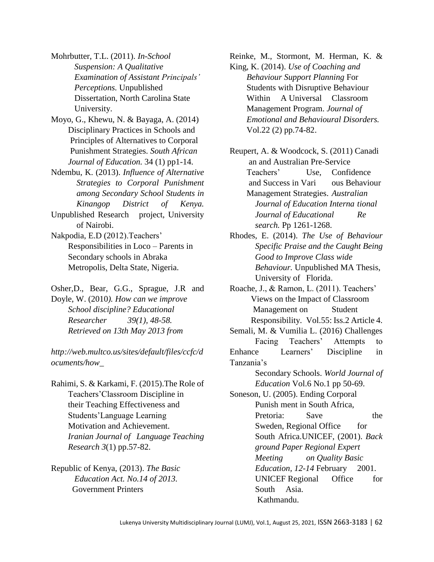- Mohrbutter, T.L. (2011). *In-School Suspension: A Qualitative Examination of Assistant Principals' Perceptions.* Unpublished Dissertation, North Carolina State University.
- Moyo, G., Khewu, N. & Bayaga, A. (2014) Disciplinary Practices in Schools and Principles of Alternatives to Corporal Punishment Strategies. *South African Journal of Education.* 34 (1) pp1-14.
- Ndembu, K. (2013). *Influence of Alternative Strategies to Corporal Punishment among Secondary School Students in Kinangop District of Kenya.*
- Unpublished Research project, University of Nairobi.
- Nakpodia, E.D (2012).Teachers' Responsibilities in Loco – Parents in Secondary schools in Abraka Metropolis, Delta State, Nigeria.
- Osher,D., Bear, G.G., Sprague, J.R and Doyle, W. (2010*). How can we improve School discipline? Educational Researcher 39(1), 48-58. Retrieved on 13th May 2013 from*

*http://web.multco.us/sites/default/files/ccfc/d ocuments/how\_*

- Rahimi, S. & Karkami, F. (2015).The Role of Teachers'Classroom Discipline in their Teaching Effectiveness and Students'Language Learning Motivation and Achievement. *Iranian Journal of Language Teaching Research 3*(1) pp.57-82.
- Republic of Kenya, (2013). *The Basic Education Act. No.14 of 2013.* Government Printers

Reinke, M., Stormont, M. Herman, K. & King, K. (2014). *Use of Coaching and*

- *Behaviour Support Planning* For Students with Disruptive Behaviour Within A Universal Classroom Management Program. *Journal of Emotional and Behavioural Disorders.* Vol.22 (2) pp.74-82.
- Reupert, A. & Woodcock, S. (2011) Canadi an and Australian Pre-Service Teachers' Use, Confidence and Success in Vari ous Behaviour Management Strategies. *Australian Journal of Education Interna tional Journal of Educational Re search.* Pp 1261-1268.
- Rhodes, E. (2014). *The Use of Behaviour Specific Praise and the Caught Being Good to Improve Class wide Behaviour.* Unpublished MA Thesis, University of Florida.
- Roache, J., & Ramon, L. (2011). Teachers' Views on the Impact of Classroom Management on Student Responsibility. Vol.55: Iss.2 Article 4.
- Semali, M. & Vumilia L. (2016) Challenges Facing Teachers' Attempts to Enhance Learners' Discipline in Tanzania's
	- Secondary Schools. *World Journal of Education* Vol.6 No.1 pp 50-69.

Soneson, U. (2005). Ending Corporal Punish ment in South Africa, Pretoria: Save the Sweden, Regional Office for South Africa.UNICEF, (2001). *Back ground Paper Regional Expert Meeting on Quality Basic Education, 12-14* February 2001. UNICEF Regional Office for South Asia. Kathmandu.